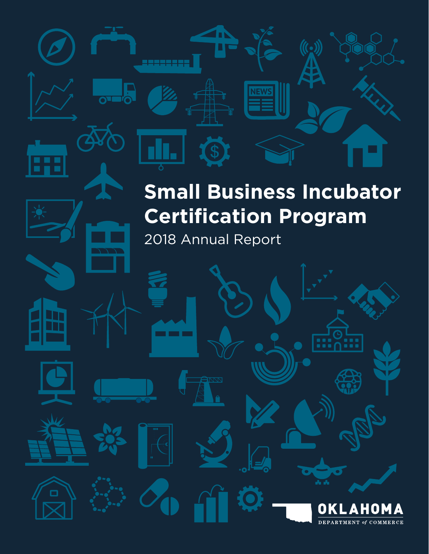# **Small Business Incubator Certification Program**

 $\hat{f}(\cdot)$ 

2018 Annual Report

**The Co** 

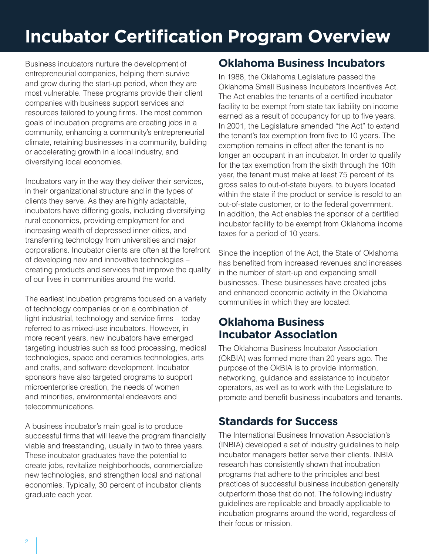# **Incubator Certification Program Overview**

Business incubators nurture the development of entrepreneurial companies, helping them survive and grow during the start-up period, when they are most vulnerable. These programs provide their client companies with business support services and resources tailored to young firms. The most common goals of incubation programs are creating jobs in a community, enhancing a community's entrepreneurial climate, retaining businesses in a community, building or accelerating growth in a local industry, and diversifying local economies.

Incubators vary in the way they deliver their services, in their organizational structure and in the types of clients they serve. As they are highly adaptable, incubators have differing goals, including diversifying rural economies, providing employment for and increasing wealth of depressed inner cities, and transferring technology from universities and major corporations. Incubator clients are often at the forefront of developing new and innovative technologies – creating products and services that improve the quality of our lives in communities around the world.

The earliest incubation programs focused on a variety of technology companies or on a combination of light industrial, technology and service firms – today referred to as mixed-use incubators. However, in more recent years, new incubators have emerged targeting industries such as food processing, medical technologies, space and ceramics technologies, arts and crafts, and software development. Incubator sponsors have also targeted programs to support microenterprise creation, the needs of women and minorities, environmental endeavors and telecommunications.

A business incubator's main goal is to produce successful firms that will leave the program financially viable and freestanding, usually in two to three years. These incubator graduates have the potential to create jobs, revitalize neighborhoods, commercialize new technologies, and strengthen local and national economies. Typically, 30 percent of incubator clients graduate each year.

## **Oklahoma Business Incubators**

In 1988, the Oklahoma Legislature passed the Oklahoma Small Business Incubators Incentives Act. The Act enables the tenants of a certified incubator facility to be exempt from state tax liability on income earned as a result of occupancy for up to five years. In 2001, the Legislature amended "the Act" to extend the tenant's tax exemption from five to 10 years. The exemption remains in effect after the tenant is no longer an occupant in an incubator. In order to qualify for the tax exemption from the sixth through the 10th year, the tenant must make at least 75 percent of its gross sales to out-of-state buyers, to buyers located within the state if the product or service is resold to an out-of-state customer, or to the federal government. In addition, the Act enables the sponsor of a certified incubator facility to be exempt from Oklahoma income taxes for a period of 10 years.

Since the inception of the Act, the State of Oklahoma has benefited from increased revenues and increases in the number of start-up and expanding small businesses. These businesses have created jobs and enhanced economic activity in the Oklahoma communities in which they are located.

## **Oklahoma Business Incubator Association**

The Oklahoma Business Incubator Association (OkBIA) was formed more than 20 years ago. The purpose of the OkBIA is to provide information, networking, guidance and assistance to incubator operators, as well as to work with the Legislature to promote and benefit business incubators and tenants.

## **Standards for Success**

The International Business Innovation Association's (INBIA) developed a set of industry guidelines to help incubator managers better serve their clients. INBIA research has consistently shown that incubation programs that adhere to the principles and best practices of successful business incubation generally outperform those that do not. The following industry guidelines are replicable and broadly applicable to incubation programs around the world, regardless of their focus or mission.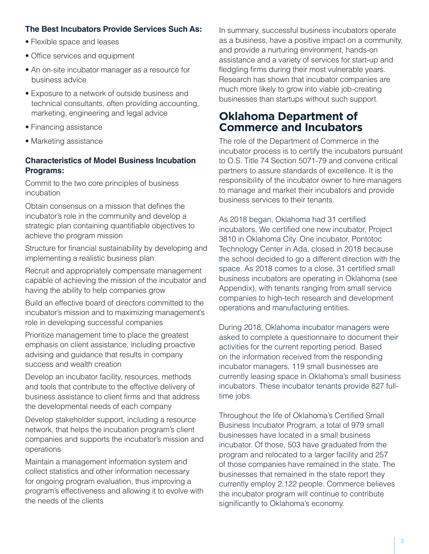### **The Best Incubators Provide Services Such As:**

- Flexible space and leases
- Office services and equipment
- An on-site incubator manager as a resource for business advice
- Exposure to a network of outside business and technical consultants, often providing accounting, marketing, engineering and legal advice
- Financing assistance
- Marketing assistance

#### **Characteristics of Model Business Incubation Programs:**

Commit to the two core principles of business incubation

Obtain consensus on a mission that defines the incubator's role in the community and develop a strategic plan containing quantifiable objectives to achieve the program mission

Structure for financial sustainability by developing and implementing a realistic business plan

Recruit and appropriately compensate management capable of achieving the mission of the incubator and having the ability to help companies grow

Build an effective board of directors committed to the incubator's mission and to maximizing management's role in developing successful companies

Prioritize management time to place the greatest emphasis on client assistance, including proactive advising and guidance that results in company success and wealth creation

Develop an incubator facility, resources, methods and tools that contribute to the effective delivery of business assistance to client firms and that address the developmental needs of each company

Develop stakeholder support, including a resource network, that helps the incubation program's client companies and supports the incubator's mission and operations

Maintain a management information system and collect statistics and other information necessary for ongoing program evaluation, thus improving a program's effectiveness and allowing it to evolve with the needs of the clients

In summary, successful business incubators operate as a business, have a positive impact on a community, and provide a nurturing environment, hands-on assistance and a variety of services for start-up and fledgling firms during their most vulnerable years. Research has shown that incubator companies are much more likely to grow into viable job-creating businesses than startups without such support.

### **Oklahoma Department of Commerce and Incubators**

The role of the Department of Commerce in the incubator process is to certify the incubators pursuant to O.S. Title 74 Section 5071-79 and convene critical partners to assure standards of excellence. It is the responsibility of the incubator owner to hire managers to manage and market their incubators and provide business services to their tenants.

As 2018 began, Oklahoma had 31 certified incubators. We certified one new incubator, Project 3810 in Oklahoma City. One incubator, Pontotoc Technology Center in Ada, closed in 2018 because the school decided to go a different direction with the space. As 2018 comes to a close, 31 certified small business incubators are operating in Oklahoma (see Appendix), with tenants ranging from small service companies to high-tech research and development operations and manufacturing entities.

During 2018, Oklahoma incubator managers were asked to complete a questionnaire to document their activities for the current reporting period. Based on the information received from the responding incubator managers, 119 small businesses are currently leasing space in Oklahoma's small business incubators. These incubator tenants provide 827 fulltime jobs.

Throughout the life of Oklahoma's Certified Small Business Incubator Program, a total of 979 small businesses have located in a small business incubator. Of those, 503 have graduated from the program and relocated to a larger facility and 257 of those companies have remained in the state. The businesses that remained in the state report they currently employ 2,122 people. Commerce believes the incubator program will continue to contribute significantly to Oklahoma's economy.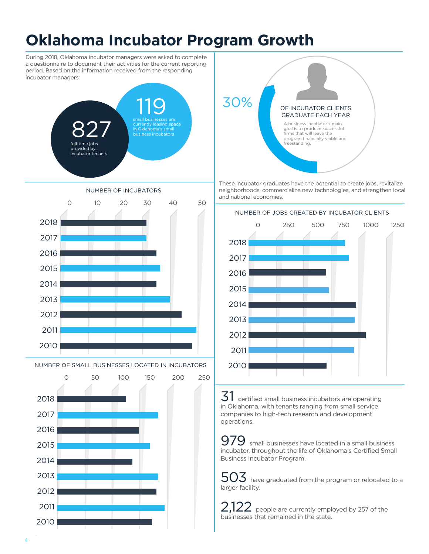## **Oklahoma Incubator Program Growth**

During 2018, Oklahoma incubator managers were asked to complete a questionnaire to document their activities for the current reporting period. Based on the information received from the responding incubator managers:





NUMBER OF SMALL BUSINESSES LOCATED IN INCUBATORS





These incubator graduates have the potential to create jobs, revitalize neighborhoods, commercialize new technologies, and strengthen local and national economies.



 $31\,$  certified small business incubators are operating in Oklahoma, with tenants ranging from small service companies to high-tech research and development operations.

 $979$  small businesses have located in a small business incubator, throughout the life of Oklahoma's Certified Small Business Incubator Program.

 $\mathsf{503}\,$  have graduated from the program or relocated to a larger facility.

 $2,122$  people are currently employed by 257 of the businesses that remained in the state.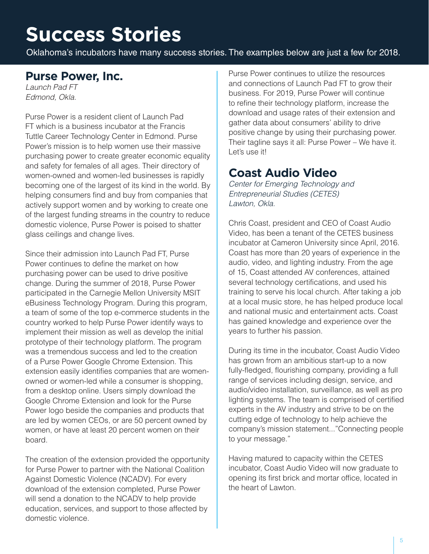# **Success Stories**

Oklahoma's incubators have many success stories. The examples below are just a few for 2018.

## **Purse Power, Inc.**

*Launch Pad FT Edmond, Okla.*

Purse Power is a resident client of Launch Pad FT which is a business incubator at the Francis Tuttle Career Technology Center in Edmond. Purse Power's mission is to help women use their massive purchasing power to create greater economic equality and safety for females of all ages. Their directory of women-owned and women-led businesses is rapidly becoming one of the largest of its kind in the world. By helping consumers find and buy from companies that actively support women and by working to create one of the largest funding streams in the country to reduce domestic violence, Purse Power is poised to shatter glass ceilings and change lives.

Since their admission into Launch Pad FT, Purse Power continues to define the market on how purchasing power can be used to drive positive change. During the summer of 2018, Purse Power participated in the Carnegie Mellon University MSIT eBusiness Technology Program. During this program, a team of some of the top e-commerce students in the country worked to help Purse Power identify ways to implement their mission as well as develop the initial prototype of their technology platform. The program was a tremendous success and led to the creation of a Purse Power Google Chrome Extension. This extension easily identifies companies that are womenowned or women-led while a consumer is shopping, from a desktop online. Users simply download the Google Chrome Extension and look for the Purse Power logo beside the companies and products that are led by women CEOs, or are 50 percent owned by women, or have at least 20 percent women on their board.

The creation of the extension provided the opportunity for Purse Power to partner with the National Coalition Against Domestic Violence (NCADV). For every download of the extension completed, Purse Power will send a donation to the NCADV to help provide education, services, and support to those affected by domestic violence.

Purse Power continues to utilize the resources and connections of Launch Pad FT to grow their business. For 2019, Purse Power will continue to refine their technology platform, increase the download and usage rates of their extension and gather data about consumers' ability to drive positive change by using their purchasing power. Their tagline says it all: Purse Power – We have it. Let's use it!

## **Coast Audio Video**

*Center for Emerging Technology and Entrepreneurial Studies (CETES) Lawton, Okla.*

Chris Coast, president and CEO of Coast Audio Video, has been a tenant of the CETES business incubator at Cameron University since April, 2016. Coast has more than 20 years of experience in the audio, video, and lighting industry. From the age of 15, Coast attended AV conferences, attained several technology certifications, and used his training to serve his local church. After taking a job at a local music store, he has helped produce local and national music and entertainment acts. Coast has gained knowledge and experience over the years to further his passion.

During its time in the incubator, Coast Audio Video has grown from an ambitious start-up to a now fully-fledged, flourishing company, providing a full range of services including design, service, and audio/video installation, surveillance, as well as pro lighting systems. The team is comprised of certified experts in the AV industry and strive to be on the cutting edge of technology to help achieve the company's mission statement..."Connecting people to your message."

Having matured to capacity within the CETES incubator, Coast Audio Video will now graduate to opening its first brick and mortar office, located in the heart of Lawton.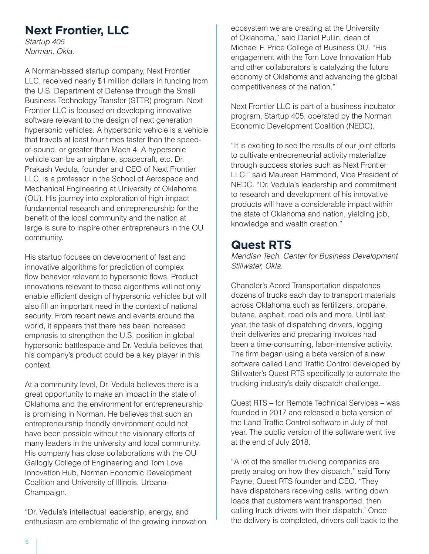## **Next Frontier, LLC**

*Startup 405 Norman, Okla.*

A Norman-based startup company, Next Frontier LLC, received nearly \$1 million dollars in funding from the U.S. Department of Defense through the Small Business Technology Transfer (STTR) program. Next Frontier LLC is focused on developing innovative software relevant to the design of next generation hypersonic vehicles. A hypersonic vehicle is a vehicle that travels at least four times faster than the speedof-sound, or greater than Mach 4. A hypersonic vehicle can be an airplane, spacecraft, etc. Dr. Prakash Vedula, founder and CEO of Next Frontier LLC, is a professor in the School of Aerospace and Mechanical Engineering at University of Oklahoma (OU). His journey into exploration of high-impact fundamental research and entrepreneurship for the benefit of the local community and the nation at large is sure to inspire other entrepreneurs in the OU community.

His startup focuses on development of fast and innovative algorithms for prediction of complex flow behavior relevant to hypersonic flows. Product innovations relevant to these algorithms will not only enable efficient design of hypersonic vehicles but will also fill an important need in the context of national security. From recent news and events around the world, it appears that there has been increased emphasis to strengthen the U.S. position in global hypersonic battlespace and Dr. Vedula believes that his company's product could be a key player in this context.

At a community level, Dr. Vedula believes there is a great opportunity to make an impact in the state of Oklahoma and the environment for entrepreneurship is promising in Norman. He believes that such an entrepreneurship friendly environment could not have been possible without the visionary efforts of many leaders in the university and local community. His company has close collaborations with the OU Gallogly College of Engineering and Tom Love Innovation Hub, Norman Economic Development Coalition and University of Illinois, Urbana-Champaign.

"Dr. Vedula's intellectual leadership, energy, and enthusiasm are emblematic of the growing innovation

ecosystem we are creating at the University of Oklahoma," said Daniel Pullin, dean of Michael F. Price College of Business OU. "His engagement with the Tom Love Innovation Hub and other collaborators is catalyzing the future economy of Oklahoma and advancing the global competitiveness of the nation."

Next Frontier LLC is part of a business incubator program, Startup 405, operated by the Norman Economic Development Coalition (NEDC).

"It is exciting to see the results of our joint efforts to cultivate entrepreneurial activity materialize through success stories such as Next Frontier LLC," said Maureen Hammond, Vice President of NEDC. "Dr. Vedula's leadership and commitment to research and development of his innovative products will have a considerable impact within the state of Oklahoma and nation, yielding job, knowledge and wealth creation."

## **Quest RTS**

*Meridian Tech. Center for Business Development Stillwater, Okla.*

Chandler's Acord Transportation dispatches dozens of trucks each day to transport materials across Oklahoma such as fertilizers, propane, butane, asphalt, road oils and more. Until last year, the task of dispatching drivers, logging their deliveries and preparing invoices had been a time-consuming, labor-intensive activity. The firm began using a beta version of a new software called Land Traffic Control developed by Stillwater's Quest RTS specifically to automate the trucking industry's daily dispatch challenge.

Quest RTS – for Remote Technical Services – was founded in 2017 and released a beta version of the Land Traffic Control software in July of that year. The public version of the software went live at the end of July 2018.

"A lot of the smaller trucking companies are pretty analog on how they dispatch," said Tony Payne, Quest RTS founder and CEO. "They have dispatchers receiving calls, writing down loads that customers want transported, then calling truck drivers with their dispatch.' Once the delivery is completed, drivers call back to the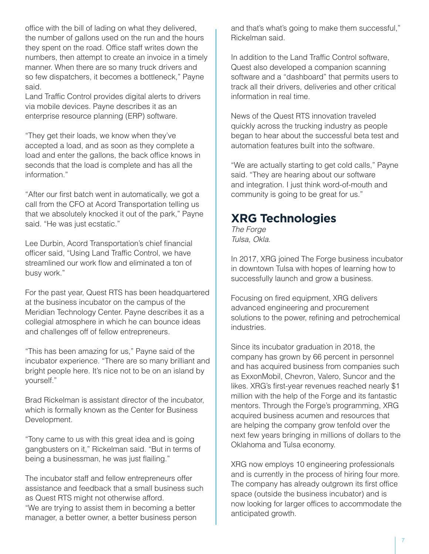office with the bill of lading on what they delivered, the number of gallons used on the run and the hours they spent on the road. Office staff writes down the numbers, then attempt to create an invoice in a timely manner. When there are so many truck drivers and so few dispatchers, it becomes a bottleneck," Payne said.

Land Traffic Control provides digital alerts to drivers via mobile devices. Payne describes it as an enterprise resource planning (ERP) software.

"They get their loads, we know when they've accepted a load, and as soon as they complete a load and enter the gallons, the back office knows in seconds that the load is complete and has all the information."

"After our first batch went in automatically, we got a call from the CFO at Acord Transportation telling us that we absolutely knocked it out of the park," Payne said. "He was just ecstatic."

Lee Durbin, Acord Transportation's chief financial officer said, "Using Land Traffic Control, we have streamlined our work flow and eliminated a ton of busy work."

For the past year, Quest RTS has been headquartered at the business incubator on the campus of the Meridian Technology Center. Payne describes it as a collegial atmosphere in which he can bounce ideas and challenges off of fellow entrepreneurs.

"This has been amazing for us," Payne said of the incubator experience. "There are so many brilliant and bright people here. It's nice not to be on an island by yourself."

Brad Rickelman is assistant director of the incubator, which is formally known as the Center for Business Development.

"Tony came to us with this great idea and is going gangbusters on it," Rickelman said. "But in terms of being a businessman, he was just flailing."

The incubator staff and fellow entrepreneurs offer assistance and feedback that a small business such as Quest RTS might not otherwise afford. "We are trying to assist them in becoming a better manager, a better owner, a better business person

and that's what's going to make them successful," Rickelman said.

In addition to the Land Traffic Control software, Quest also developed a companion scanning software and a "dashboard" that permits users to track all their drivers, deliveries and other critical information in real time.

News of the Quest RTS innovation traveled quickly across the trucking industry as people began to hear about the successful beta test and automation features built into the software.

"We are actually starting to get cold calls," Payne said. "They are hearing about our software and integration. I just think word-of-mouth and community is going to be great for us."

## **XRG Technologies**

*The Forge Tulsa, Okla.*

In 2017, XRG joined The Forge business incubator in downtown Tulsa with hopes of learning how to successfully launch and grow a business.

Focusing on fired equipment, XRG delivers advanced engineering and procurement solutions to the power, refining and petrochemical industries.

Since its incubator graduation in 2018, the company has grown by 66 percent in personnel and has acquired business from companies such as ExxonMobil, Chevron, Valero, Suncor and the likes. XRG's first-year revenues reached nearly \$1 million with the help of the Forge and its fantastic mentors. Through the Forge's programming, XRG acquired business acumen and resources that are helping the company grow tenfold over the next few years bringing in millions of dollars to the Oklahoma and Tulsa economy.

XRG now employs 10 engineering professionals and is currently in the process of hiring four more. The company has already outgrown its first office space (outside the business incubator) and is now looking for larger offices to accommodate the anticipated growth.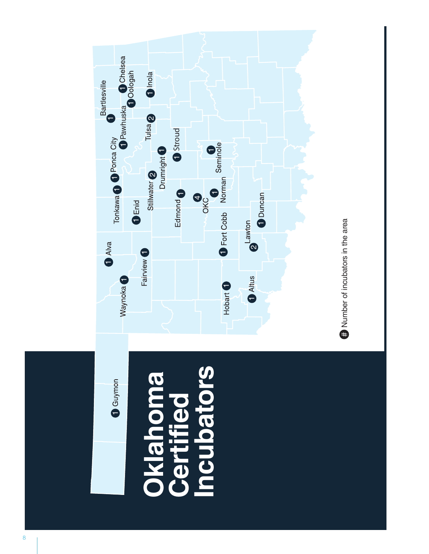

Number of incubators in the area #

┯.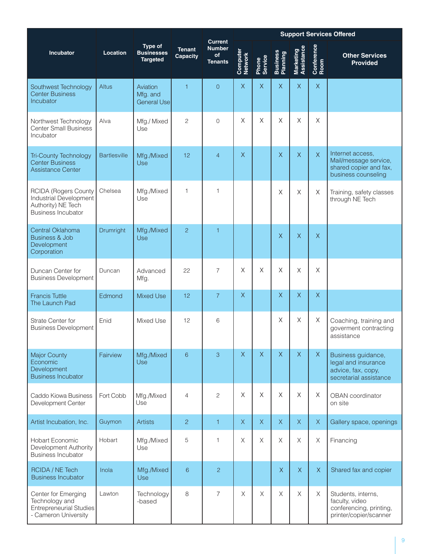|                                                                                                          |                     |                                                 |                           |                                                         |                     | <b>Support Services Offered</b> |                             |                         |                    |                                                                                            |  |
|----------------------------------------------------------------------------------------------------------|---------------------|-------------------------------------------------|---------------------------|---------------------------------------------------------|---------------------|---------------------------------|-----------------------------|-------------------------|--------------------|--------------------------------------------------------------------------------------------|--|
| <b>Incubator</b>                                                                                         | <b>Location</b>     | Type of<br><b>Businesses</b><br><b>Targeted</b> | <b>Tenant</b><br>Capacity | <b>Current</b><br><b>Number</b><br>of<br><b>Tenants</b> | Computer<br>Network | Phone<br>Service                | <b>Business</b><br>Planning | Assistance<br>Marketing | Conference<br>Room | <b>Other Services</b><br><b>Provided</b>                                                   |  |
| Southwest Technology<br><b>Center Business</b><br><b>Incubator</b>                                       | <b>Altus</b>        | Aviation<br>Mfg. and<br><b>General Usel</b>     | $\overline{1}$            | $\overline{0}$                                          | $\times$            | $\times$                        | $\sf X$                     | $\sf X$                 | $\mathsf X$        |                                                                                            |  |
| Northwest Technology<br><b>Center Small Business</b><br>Incubator                                        | Alva                | Mfg./ Mixed<br>Use                              | $\overline{c}$            | $\Omega$                                                | X                   | $\times$                        | $\times$                    | $\times$                | $\times$           |                                                                                            |  |
| <b>Tri-County Technology</b><br><b>Center Business</b><br><b>Assistance Center</b>                       | <b>Bartlesville</b> | Mfg./Mixed<br>Use                               | 12                        | $\overline{4}$                                          | $\mathsf X$         |                                 | $\overline{X}$              | $\sf X$                 | $\overline{X}$     | Internet access.<br>Mail/message service,<br>shared copier and fax,<br>business counseling |  |
| <b>RCIDA (Rogers County</b><br>Industrial Development<br>Authority) NE Tech<br><b>Business Incubator</b> | Chelsea             | Mfg./Mixed<br>Use                               | $\mathbf{1}$              | 1                                                       |                     |                                 | Χ                           | $\times$                | $\times$           | Training, safety classes<br>through NE Tech                                                |  |
| Central Oklahoma<br><b>Business &amp; Job</b><br>Development<br>Corporation                              | Drumright           | Mfg./Mixed<br>Use                               | $\overline{2}$            | 1                                                       |                     |                                 | $\overline{X}$              | $\overline{X}$          | $\overline{X}$     |                                                                                            |  |
| Duncan Center for<br><b>Business Development</b>                                                         | Duncan              | Advanced<br>Mfg.                                | 22                        | 7                                                       | $\times$            | $\times$                        | Χ                           | $\times$                | $\times$           |                                                                                            |  |
| <b>Francis Tuttle</b><br>The Launch Pad                                                                  | Edmond              | <b>Mixed Use</b>                                | 12                        | $\overline{7}$                                          | $\overline{X}$      |                                 | $\mathsf X$                 | $\mathsf X$             | $\mathsf X$        |                                                                                            |  |
| Strate Center for<br><b>Business Development</b>                                                         | Enid                | Mixed Use                                       | 12                        | 6                                                       |                     |                                 | $\times$                    | X                       | Χ                  | Coaching, training and<br>goverment contracting<br>assistance                              |  |
| <b>Major County</b><br>Economic<br>Development<br><b>Business Incubator</b>                              | Fairview            | Mfg./Mixed<br>Use                               | 6                         | 3                                                       | $\overline{X}$      | $\overline{X}$                  | $\overline{X}$              | $\overline{X}$          | $\mathsf X$        | Business guidance,<br>legal and insurance<br>advice, fax, copy,<br>secretarial assistance  |  |
| Caddo Kiowa Business<br>Development Center                                                               | Fort Cobb           | Mfg./Mixed<br>Use                               | $\overline{4}$            | $\mathbf{2}$                                            | $\mathsf X$         | $\times$                        | $\times$                    | $\mathsf X$             | X                  | <b>OBAN</b> coordinator<br>on site                                                         |  |
| Artist Incubation, Inc.                                                                                  | Guymon              | <b>Artists</b>                                  | $\overline{c}$            | 1                                                       | $\mathsf{X}$        | $\mathsf{X}$                    | $\mathsf X$                 | $\mathsf X$             | $\mathsf X$        | Gallery space, openings                                                                    |  |
| <b>Hobart Economic</b><br>Development Authority<br><b>Business Incubator</b>                             | Hobart              | Mfg./Mixed<br>Use                               | 5                         | 1                                                       | Χ                   | X                               | $\mathsf X$                 | $\mathsf X$             | X                  | Financing                                                                                  |  |
| RCIDA / NE Tech<br><b>Business Incubator</b>                                                             | Inola               | Mfg./Mixed<br>Use                               | 6                         | $\overline{2}$                                          |                     |                                 | $\mathsf{X}$                | $\mathsf X$             | $\mathsf X$        | Shared fax and copier                                                                      |  |
| Center for Emerging<br>Technology and<br><b>Entrepreneurial Studies</b><br>- Cameron University          | Lawton              | Technology<br>-based                            | 8                         | $\overline{7}$                                          | $\times$            | $\times$                        | X                           | $\times$                | X                  | Students, interns,<br>faculty, video<br>conferencing, printing,<br>printer/copier/scanner  |  |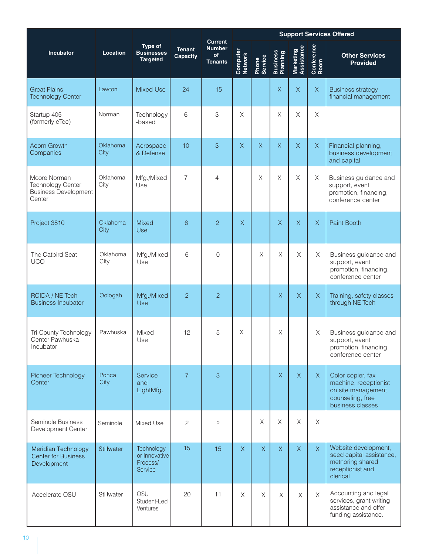|                                                                                   |                  |                                                    |                                  |                                                         | <b>Support Services Offered</b> |                         |                             |                         |                    |                                                                                                          |
|-----------------------------------------------------------------------------------|------------------|----------------------------------------------------|----------------------------------|---------------------------------------------------------|---------------------------------|-------------------------|-----------------------------|-------------------------|--------------------|----------------------------------------------------------------------------------------------------------|
| <b>Incubator</b>                                                                  | Location         | Type of<br><b>Businesses</b><br><b>Targeted</b>    | <b>Tenant</b><br><b>Capacity</b> | <b>Current</b><br><b>Number</b><br>of<br><b>Tenants</b> | Computer<br>Network             | Phone<br>Service        | <b>Business</b><br>Planning | Marketing<br>Assistance | Conference<br>Room | <b>Other Services</b><br><b>Provided</b>                                                                 |
| <b>Great Plains</b><br><b>Technology Center</b>                                   | Lawton           | <b>Mixed Use</b>                                   | 24                               | 15                                                      |                                 |                         | $\mathsf X$                 | $\overline{X}$          | $\bar{\mathsf{X}}$ | <b>Business strategy</b><br>financial management                                                         |
| Startup 405<br>(formerly eTec)                                                    | Norman           | Technology<br>-based                               | 6                                | 3                                                       | X                               |                         | $\mathsf X$                 | X                       | X                  |                                                                                                          |
| <b>Acorn Growth</b><br>Companies                                                  | Oklahoma<br>City | Aerospace<br>& Defense                             | 10                               | 3                                                       | $\overline{X}$                  | $\overline{X}$          | $\overline{X}$              | $\overline{X}$          | $\mathsf X$        | Financial planning,<br>business development<br>and capital                                               |
| Moore Norman<br><b>Technology Center</b><br><b>Business Development</b><br>Center | Oklahoma<br>City | Mfg./Mixed<br>Use                                  | $\overline{7}$                   | 4                                                       |                                 | $\mathsf{X}$            | $\chi$                      | $\mathsf{X}% _{0}$      | $\mathsf X$        | Business guidance and<br>support, event<br>promotion, financing,<br>conference center                    |
| Project 3810                                                                      | Oklahoma<br>City | <b>Mixed</b><br>Use                                | 6                                | $\overline{c}$                                          | $\mathsf X$                     |                         | $\mathsf X$                 | $\overline{X}$          | $\mathsf{X}% _{0}$ | Paint Booth                                                                                              |
| The Catbird Seat<br><b>UCO</b>                                                    | Oklahoma<br>City | Mfg./Mixed<br>Use                                  | 6                                | 0                                                       |                                 | $\overline{\mathsf{X}}$ | X                           | Χ                       | X                  | Business guidance and<br>support, event<br>promotion, financing,<br>conference center                    |
| RCIDA / NE Tech<br><b>Business Incubator</b>                                      | Oologah          | Mfg./Mixed<br><b>Use</b>                           | $\overline{c}$                   | $\overline{2}$                                          |                                 |                         | $\mathsf X$                 | $\overline{X}$          | $\mathsf{X}% _{0}$ | Training, safety classes<br>through NE Tech                                                              |
| Tri-County Technology<br>Center Pawhuska<br>Incubator                             | Pawhuska         | Mixed<br>Use                                       | 12                               | 5                                                       | $\mathsf X$                     |                         | $\mathsf X$                 |                         | X                  | Business guidance and<br>support, event<br>promotion, financing,<br>conference center                    |
| Pioneer Technology<br>Center                                                      | Ponca<br>City    | Service<br>and<br>LightMfg.                        | $\overline{7}$                   | 3                                                       |                                 |                         | $\overline{X}$              | $\overline{X}$          | $\mathsf{X}$       | Color copier, fax<br>machine, receptionist<br>on site management<br>counseling, free<br>business classes |
| Seminole Business<br>Development Center                                           | Seminole         | Mixed Use                                          | $\overline{c}$                   | $\mathbf{2}$                                            |                                 | $\chi$                  | $\mathsf X$                 | Χ                       | X                  |                                                                                                          |
| Meridian Technology<br><b>Center for Business</b><br>Development                  | Stillwater       | Technology<br>or Innovative<br>Process/<br>Service | 15                               | 15                                                      | $\bar{X}$                       | $\overline{X}$          | $\bar{X}$                   | $\overline{\mathsf{X}}$ | $\bar{X}$          | Website development,<br>seed capital assistance,<br>metnoring shared<br>receptionist and<br>clerical     |
| Accelerate OSU                                                                    | Stillwater       | OSU<br>Student-Led<br>Ventures                     | 20                               | 11                                                      | X                               | $\mathsf X$             | $\mathsf X$                 | X                       | $\times$           | Accounting and legal<br>services, grant writing<br>assistance and offer<br>funding assistance.           |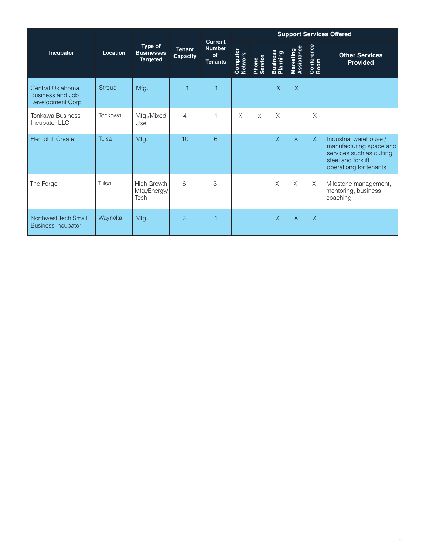|                                                                        |          | <b>Type of</b><br><b>Businesses</b><br><b>Targeted</b> | <b>Tenant</b><br>Capacity | <b>Current</b><br><b>Number</b><br>of<br><b>Tenants</b> | <b>Support Services Offered</b> |                  |                             |                         |                    |                                                                                                                               |  |
|------------------------------------------------------------------------|----------|--------------------------------------------------------|---------------------------|---------------------------------------------------------|---------------------------------|------------------|-----------------------------|-------------------------|--------------------|-------------------------------------------------------------------------------------------------------------------------------|--|
| <b>Incubator</b>                                                       | Location |                                                        |                           |                                                         | Computer<br>Network             | Phone<br>Service | <b>Business</b><br>Planning | Marketing<br>Assistance | Conference<br>Room | <b>Other Services</b><br><b>Provided</b>                                                                                      |  |
| Central Oklahoma<br><b>Business and Job</b><br><b>Development Corp</b> | Stroud   | Mfg.                                                   | 1                         | 1                                                       |                                 |                  | $\overline{X}$              | $\overline{X}$          |                    |                                                                                                                               |  |
| <b>Tonkawa Business</b><br>Incubator LLC                               | Tonkawa  | Mfg./Mixed<br>Use                                      | $\overline{4}$            |                                                         | X                               | $\times$         | X                           |                         | X                  |                                                                                                                               |  |
| <b>Hemphill Create</b>                                                 | Tulsa    | Mfg.                                                   | 10                        | 6                                                       |                                 |                  | $\overline{\mathsf{X}}$     | $\overline{X}$          | X                  | Industrial warehouse /<br>manufacturing space and<br>services such as cutting<br>steel and forklift<br>operationg for tenants |  |
| The Forge                                                              | Tulsa    | <b>High Growth</b><br>Mfg./Energy/<br>Tech             | 6                         | 3                                                       |                                 |                  | X                           | X                       | $\times$           | Milestone management,<br>mentoring, business<br>coaching                                                                      |  |
| Northwest Tech Small<br><b>Business Incubator</b>                      | Waynoka  | Mfg.                                                   | $\overline{2}$            | 1                                                       |                                 |                  | $\sf X$                     | X                       | $\sf X$            |                                                                                                                               |  |